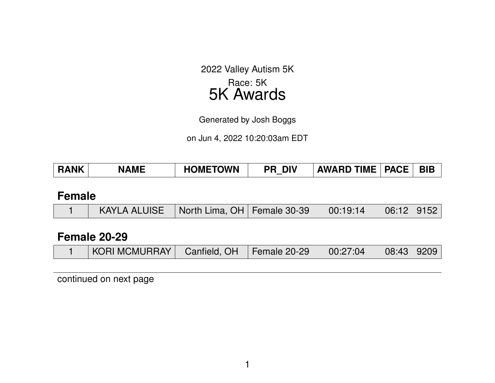2022 Valley Autism 5K Race: 5K 5K Awards

Generated by Josh Boggs

on Jun 4, 2022 10:20:03am EDT

| <b>BIB</b><br><b>HOMETOWN</b><br><b>RANK</b><br><b>AWARD TIME</b><br><b>DIV</b><br><b>PACE</b><br><b>NAME</b><br>PR |  |
|---------------------------------------------------------------------------------------------------------------------|--|
|---------------------------------------------------------------------------------------------------------------------|--|

#### **Female**

|  | $KAYLA ALUISE$ North Lima, OH   Female 30-39   00:19:14 |  |  |  | $\mid$ 06:12   9152 |  |
|--|---------------------------------------------------------|--|--|--|---------------------|--|
|--|---------------------------------------------------------|--|--|--|---------------------|--|

### **Female 20-29**

|  | <b>KORI MCMURRAY</b> | Canfield, OH | Female 20-29 | 00:27:04 | 08:43 9209 |  |
|--|----------------------|--------------|--------------|----------|------------|--|
|--|----------------------|--------------|--------------|----------|------------|--|

continued on next page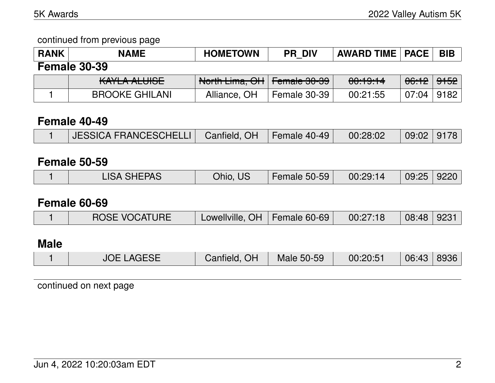continued from previous page

| <b>RANK</b> | <b>NAME</b>           | <b>HOMETOWN</b>               | <b>PR DIV</b> | <b>AWARD TIME   PACE  </b> |                                    | <b>BIB</b> |
|-------------|-----------------------|-------------------------------|---------------|----------------------------|------------------------------------|------------|
|             | <b>Female 30-39</b>   |                               |               |                            |                                    |            |
|             | KAYLA ALUISE          | North Lima, OH   Female 30-39 |               | <del>00:19:14</del>        | <del>06:12</del>   <del>9152</del> |            |
|             | <b>BROOKE GHILANI</b> | Alliance, OH                  | Female 30-39  | 00:21:55                   | 07:04                              | ່ 9182     |
|             |                       |                               |               |                            |                                    |            |

## **Female 40-49**

|  | JESSICA FRANCESCHELLI   Canfield, OH   Female 40-49   00:28:02 |  |  |  | $\mid$ 09:02 $\mid$ 9178 $\mid$ |  |
|--|----------------------------------------------------------------|--|--|--|---------------------------------|--|
|--|----------------------------------------------------------------|--|--|--|---------------------------------|--|

## **Female 50-59**

|  |  | <b>LISA SHEPAS</b> | Ohio, US | <b>Female 50-59</b> | 00:29:14 | 09:25   9220 |  |
|--|--|--------------------|----------|---------------------|----------|--------------|--|
|--|--|--------------------|----------|---------------------|----------|--------------|--|

#### **Female 60-69**

|  | <b>ROSE VOCATURE</b> | Lowellville, OH   Female 60-69 |  | 00:27:18 | 08:48 9231 |  |
|--|----------------------|--------------------------------|--|----------|------------|--|
|--|----------------------|--------------------------------|--|----------|------------|--|

# **Male**

|  | <b>JOE LAGESE</b> | Canfield, OH | Male 50-59 | 00:20:51 | $\mid$ 06:43 $\mid$ 8936 $\mid$ |  |
|--|-------------------|--------------|------------|----------|---------------------------------|--|
|--|-------------------|--------------|------------|----------|---------------------------------|--|

continued on next page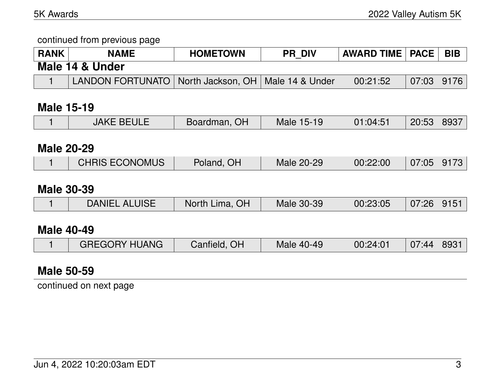continued from previous page

| RANK | <b>NAME</b>                                            | <b>HOMETOWN</b> | <b>PR DIV</b> | <b>AWARD TIME   PACE</b> |                                 | <b>BIB</b> |
|------|--------------------------------------------------------|-----------------|---------------|--------------------------|---------------------------------|------------|
|      | Male 14 & Under                                        |                 |               |                          |                                 |            |
|      | LANDON FORTUNATO   North Jackson, OH   Male 14 & Under |                 |               | 00:21:52                 | $\mid$ 07:03 $\mid$ 9176 $\mid$ |            |

#### **Male 15-19**

|                   | <b>JAKE BEULE</b>     | Boardman, OH   | Male 15-19 | 01:04:51 | 20:53 | 8937 |  |  |  |
|-------------------|-----------------------|----------------|------------|----------|-------|------|--|--|--|
|                   |                       |                |            |          |       |      |  |  |  |
| <b>Male 20-29</b> |                       |                |            |          |       |      |  |  |  |
|                   | <b>CHRIS ECONOMUS</b> | Poland, OH     | Male 20-29 | 00:22:00 | 07:05 | 9173 |  |  |  |
|                   |                       |                |            |          |       |      |  |  |  |
| <b>Male 30-39</b> |                       |                |            |          |       |      |  |  |  |
|                   | <b>DANIEL ALUISE</b>  | North Lima, OH | Male 30-39 | 00:23:05 | 07:26 | 9151 |  |  |  |
|                   |                       |                |            |          |       |      |  |  |  |
|                   | <b>Male 40-49</b>     |                |            |          |       |      |  |  |  |
|                   | <b>GREGORY HUANG</b>  | Canfield, OH   | Male 40-49 | 00:24:01 | 07:44 | 8931 |  |  |  |

#### **Male 50-59**

continued on next page